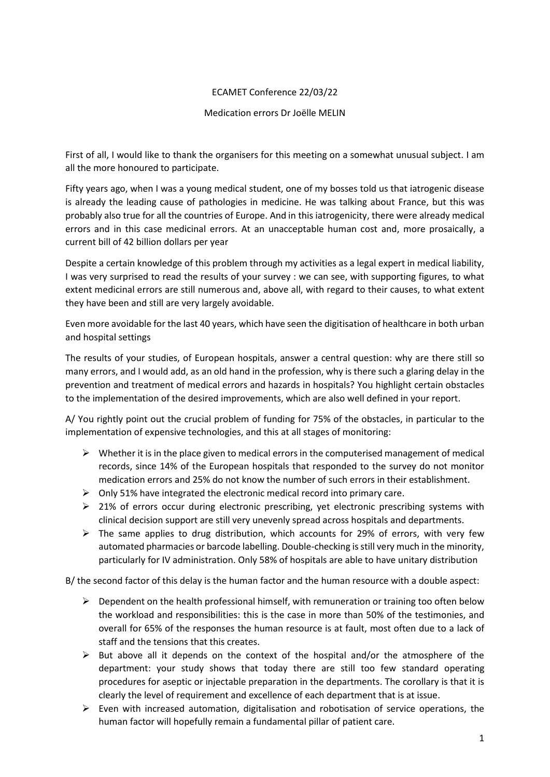## ECAMET Conference 22/03/22

## Medication errors Dr Joëlle MELIN

First of all, I would like to thank the organisers for this meeting on a somewhat unusual subject. I am all the more honoured to participate.

Fifty years ago, when I was a young medical student, one of my bosses told us that iatrogenic disease is already the leading cause of pathologies in medicine. He was talking about France, but this was probably also true for all the countries of Europe. And in this iatrogenicity, there were already medical errors and in this case medicinal errors. At an unacceptable human cost and, more prosaically, a current bill of 42 billion dollars per year

Despite a certain knowledge of this problem through my activities as a legal expert in medical liability, I was very surprised to read the results of your survey : we can see, with supporting figures, to what extent medicinal errors are still numerous and, above all, with regard to their causes, to what extent they have been and still are very largely avoidable.

Even more avoidable for the last 40 years, which have seen the digitisation of healthcare in both urban and hospital settings

The results of your studies, of European hospitals, answer a central question: why are there still so many errors, and I would add, as an old hand in the profession, why is there such a glaring delay in the prevention and treatment of medical errors and hazards in hospitals? You highlight certain obstacles to the implementation of the desired improvements, which are also well defined in your report.

A/ You rightly point out the crucial problem of funding for 75% of the obstacles, in particular to the implementation of expensive technologies, and this at all stages of monitoring:

- $\triangleright$  Whether it is in the place given to medical errors in the computerised management of medical records, since 14% of the European hospitals that responded to the survey do not monitor medication errors and 25% do not know the number of such errors in their establishment.
- $\triangleright$  Only 51% have integrated the electronic medical record into primary care.
- $\geq$  21% of errors occur during electronic prescribing, yet electronic prescribing systems with clinical decision support are still very unevenly spread across hospitals and departments.
- $\triangleright$  The same applies to drug distribution, which accounts for 29% of errors, with very few automated pharmacies or barcode labelling. Double-checking is still very much in the minority, particularly for IV administration. Only 58% of hospitals are able to have unitary distribution

B/ the second factor of this delay is the human factor and the human resource with a double aspect:

- $\triangleright$  Dependent on the health professional himself, with remuneration or training too often below the workload and responsibilities: this is the case in more than 50% of the testimonies, and overall for 65% of the responses the human resource is at fault, most often due to a lack of staff and the tensions that this creates.
- $\triangleright$  But above all it depends on the context of the hospital and/or the atmosphere of the department: your study shows that today there are still too few standard operating procedures for aseptic or injectable preparation in the departments. The corollary is that it is clearly the level of requirement and excellence of each department that is at issue.
- $\triangleright$  Even with increased automation, digitalisation and robotisation of service operations, the human factor will hopefully remain a fundamental pillar of patient care.